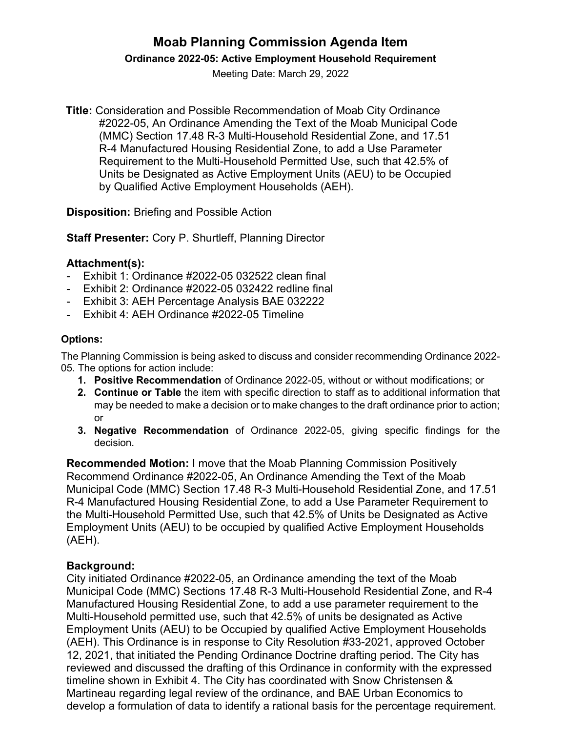# **Moab Planning Commission Agenda Item Ordinance 2022-05: Active Employment Household Requirement**

Meeting Date: March 29, 2022

**Title:** Consideration and Possible Recommendation of Moab City Ordinance #2022-05, An Ordinance Amending the Text of the Moab Municipal Code (MMC) Section 17.48 R-3 Multi-Household Residential Zone, and 17.51 R-4 Manufactured Housing Residential Zone, to add a Use Parameter Requirement to the Multi-Household Permitted Use, such that 42.5% of Units be Designated as Active Employment Units (AEU) to be Occupied by Qualified Active Employment Households (AEH).

**Disposition:** Briefing and Possible Action

**Staff Presenter:** Cory P. Shurtleff, Planning Director

### **Attachment(s):**

- Exhibit 1: Ordinance #2022-05 032522 clean final
- Exhibit 2: Ordinance #2022-05 032422 redline final
- Exhibit 3: AEH Percentage Analysis BAE 032222
- Exhibit 4: AEH Ordinance #2022-05 Timeline

#### **Options:**

The Planning Commission is being asked to discuss and consider recommending Ordinance 2022- 05. The options for action include:

- **1. Positive Recommendation** of Ordinance 2022-05, without or without modifications; or
- **2. Continue or Table** the item with specific direction to staff as to additional information that may be needed to make a decision or to make changes to the draft ordinance prior to action; or
- **3. Negative Recommendation** of Ordinance 2022-05, giving specific findings for the decision.

**Recommended Motion:** I move that the Moab Planning Commission Positively Recommend Ordinance #2022-05, An Ordinance Amending the Text of the Moab Municipal Code (MMC) Section 17.48 R-3 Multi-Household Residential Zone, and 17.51 R-4 Manufactured Housing Residential Zone, to add a Use Parameter Requirement to the Multi-Household Permitted Use, such that 42.5% of Units be Designated as Active Employment Units (AEU) to be occupied by qualified Active Employment Households (AEH).

## **Background:**

City initiated Ordinance #2022-05, an Ordinance amending the text of the Moab Municipal Code (MMC) Sections 17.48 R-3 Multi-Household Residential Zone, and R-4 Manufactured Housing Residential Zone, to add a use parameter requirement to the Multi-Household permitted use, such that 42.5% of units be designated as Active Employment Units (AEU) to be Occupied by qualified Active Employment Households (AEH). This Ordinance is in response to City Resolution #33-2021, approved October 12, 2021, that initiated the Pending Ordinance Doctrine drafting period. The City has reviewed and discussed the drafting of this Ordinance in conformity with the expressed timeline shown in Exhibit 4. The City has coordinated with Snow Christensen & Martineau regarding legal review of the ordinance, and BAE Urban Economics to develop a formulation of data to identify a rational basis for the percentage requirement.